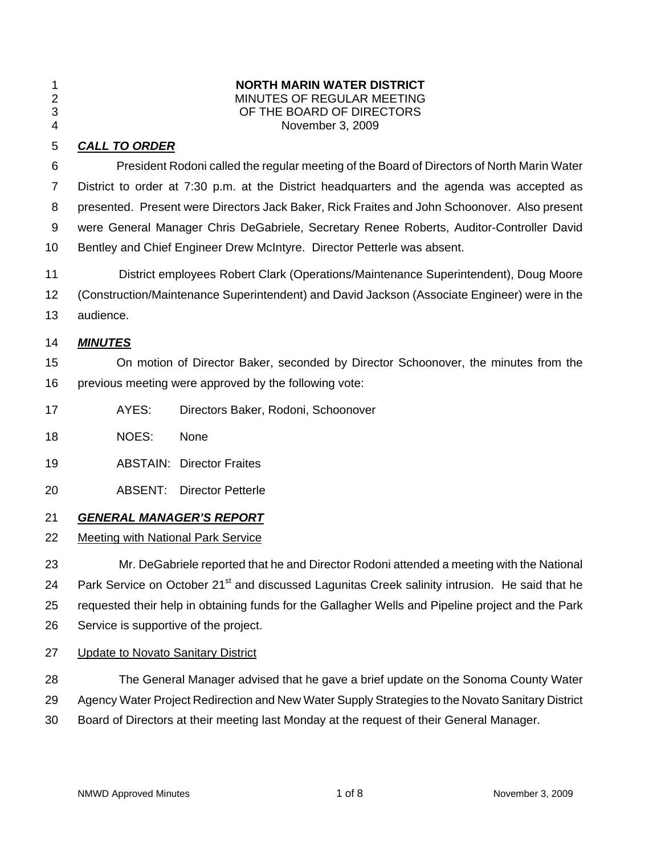| ł |  |
|---|--|
|   |  |

#### 1 **NORTH MARIN WATER DISTRICT**  MINUTES OF REGULAR MEETING 3 OF THE BOARD OF DIRECTORS 4 November 3, 2009

# 5 *CALL TO ORDER*

6 President Rodoni called the regular meeting of the Board of Directors of North Marin Water 7 District to order at 7:30 p.m. at the District headquarters and the agenda was accepted as 8 presented. Present were Directors Jack Baker, Rick Fraites and John Schoonover. Also present 9 were General Manager Chris DeGabriele, Secretary Renee Roberts, Auditor-Controller David 10 Bentley and Chief Engineer Drew McIntyre. Director Petterle was absent.

11 District employees Robert Clark (Operations/Maintenance Superintendent), Doug Moore 12 (Construction/Maintenance Superintendent) and David Jackson (Associate Engineer) were in the

13 audience.

# 14 *MINUTES*

15 On motion of Director Baker, seconded by Director Schoonover, the minutes from the 16 previous meeting were approved by the following vote:

- 17 AYES: Directors Baker, Rodoni, Schoonover
- 18 NOES: None
- 19 ABSTAIN: Director Fraites
- 20 ABSENT: Director Petterle

# 21 *GENERAL MANAGER'S REPORT*

# 22 Meeting with National Park Service

23 Mr. DeGabriele reported that he and Director Rodoni attended a meeting with the National 24 Park Service on October 21<sup>st</sup> and discussed Lagunitas Creek salinity intrusion. He said that he 25 requested their help in obtaining funds for the Gallagher Wells and Pipeline project and the Park 26 Service is supportive of the project.

# 27 Update to Novato Sanitary District

28 The General Manager advised that he gave a brief update on the Sonoma County Water

- 29 Agency Water Project Redirection and New Water Supply Strategies to the Novato Sanitary District
- 30 Board of Directors at their meeting last Monday at the request of their General Manager.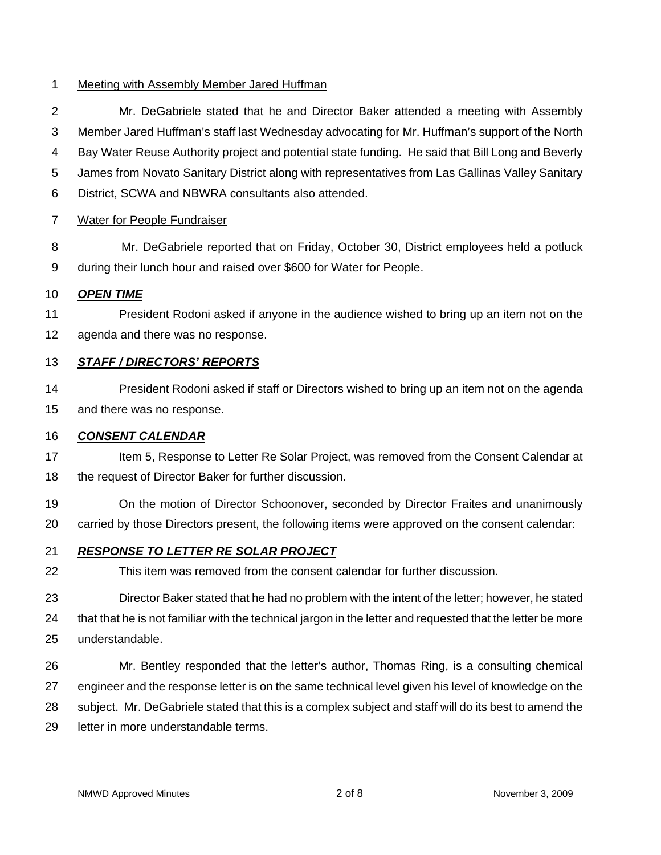### 1 Meeting with Assembly Member Jared Huffman

2 Mr. DeGabriele stated that he and Director Baker attended a meeting with Assembly 3 Member Jared Huffman's staff last Wednesday advocating for Mr. Huffman's support of the North 4 Bay Water Reuse Authority project and potential state funding. He said that Bill Long and Beverly 5 James from Novato Sanitary District along with representatives from Las Gallinas Valley Sanitary 6 District, SCWA and NBWRA consultants also attended.

#### 7 Water for People Fundraiser

8 Mr. DeGabriele reported that on Friday, October 30, District employees held a potluck 9 during their lunch hour and raised over \$600 for Water for People.

#### 10 *OPEN TIME*

11 President Rodoni asked if anyone in the audience wished to bring up an item not on the 12 agenda and there was no response.

#### 13 *STAFF / DIRECTORS' REPORTS*

14 President Rodoni asked if staff or Directors wished to bring up an item not on the agenda 15 and there was no response.

#### 16 *CONSENT CALENDAR*

17 Item 5, Response to Letter Re Solar Project, was removed from the Consent Calendar at 18 the request of Director Baker for further discussion.

19 On the motion of Director Schoonover, seconded by Director Fraites and unanimously 20 carried by those Directors present, the following items were approved on the consent calendar:

### 21 *RESPONSE TO LETTER RE SOLAR PROJECT*

22 This item was removed from the consent calendar for further discussion.

23 Director Baker stated that he had no problem with the intent of the letter; however, he stated 24 that that he is not familiar with the technical jargon in the letter and requested that the letter be more 25 understandable.

26 Mr. Bentley responded that the letter's author, Thomas Ring, is a consulting chemical 27 engineer and the response letter is on the same technical level given his level of knowledge on the 28 subject. Mr. DeGabriele stated that this is a complex subject and staff will do its best to amend the 29 letter in more understandable terms.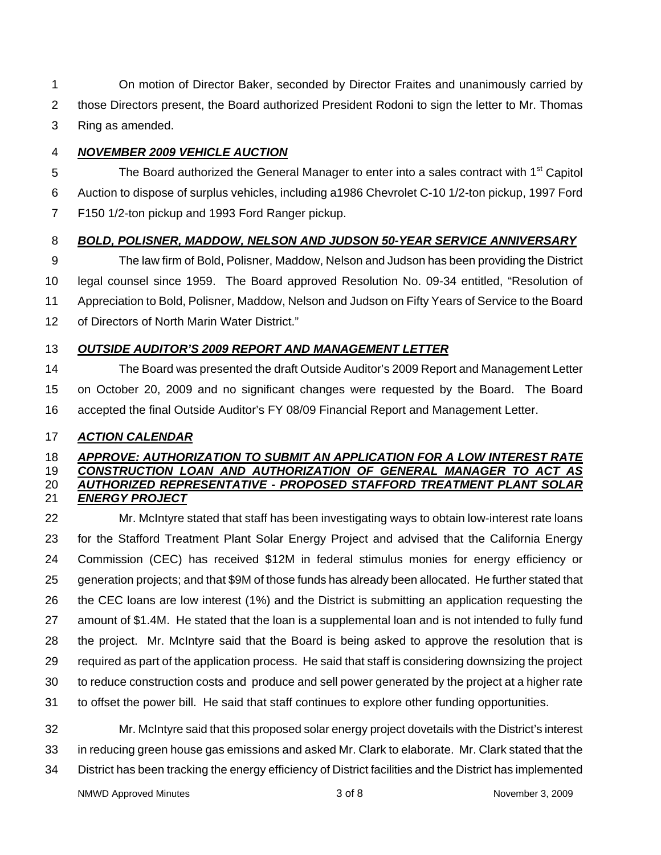1 On motion of Director Baker, seconded by Director Fraites and unanimously carried by 2 those Directors present, the Board authorized President Rodoni to sign the letter to Mr. Thomas 3 Ring as amended.

### 4 *NOVEMBER 2009 VEHICLE AUCTION*

The Board authorized the General Manager to enter into a sales contract with 1<sup>st</sup> Capitol 6 Auction to dispose of surplus vehicles, including a1986 Chevrolet C-10 1/2-ton pickup, 1997 Ford 7 F150 1/2-ton pickup and 1993 Ford Ranger pickup.

# 8 *BOLD, POLISNER, MADDOW, NELSON AND JUDSON 50-YEAR SERVICE ANNIVERSARY*

9 The law firm of Bold, Polisner, Maddow, Nelson and Judson has been providing the District 10 legal counsel since 1959. The Board approved Resolution No. 09-34 entitled, "Resolution of 11 Appreciation to Bold, Polisner, Maddow, Nelson and Judson on Fifty Years of Service to the Board 12 of Directors of North Marin Water District."

### 13 *OUTSIDE AUDITOR'S 2009 REPORT AND MANAGEMENT LETTER*

14 The Board was presented the draft Outside Auditor's 2009 Report and Management Letter 15 on October 20, 2009 and no significant changes were requested by the Board. The Board 16 accepted the final Outside Auditor's FY 08/09 Financial Report and Management Letter.

### 17 *ACTION CALENDAR*

### 18 *APPROVE: AUTHORIZATION TO SUBMIT AN APPLICATION FOR A LOW INTEREST RATE*  19 *CONSTRUCTION LOAN AND AUTHORIZATION OF GENERAL MANAGER TO ACT AS*  20 *AUTHORIZED REPRESENTATIVE - PROPOSED STAFFORD TREATMENT PLANT SOLAR* 21 *ENERGY PROJECT*

22 Mr. McIntyre stated that staff has been investigating ways to obtain low-interest rate loans 23 for the Stafford Treatment Plant Solar Energy Project and advised that the California Energy 24 Commission (CEC) has received \$12M in federal stimulus monies for energy efficiency or 25 generation projects; and that \$9M of those funds has already been allocated. He further stated that 26 the CEC loans are low interest (1%) and the District is submitting an application requesting the 27 amount of \$1.4M. He stated that the loan is a supplemental loan and is not intended to fully fund 28 the project. Mr. McIntyre said that the Board is being asked to approve the resolution that is 29 required as part of the application process. He said that staff is considering downsizing the project 30 to reduce construction costs and produce and sell power generated by the project at a higher rate 31 to offset the power bill. He said that staff continues to explore other funding opportunities.

32 Mr. McIntyre said that this proposed solar energy project dovetails with the District's interest 33 in reducing green house gas emissions and asked Mr. Clark to elaborate. Mr. Clark stated that the 34 District has been tracking the energy efficiency of District facilities and the District has implemented

NMWD Approved Minutes and the settlement of  $3 \times 3$  of 8 November 3, 2009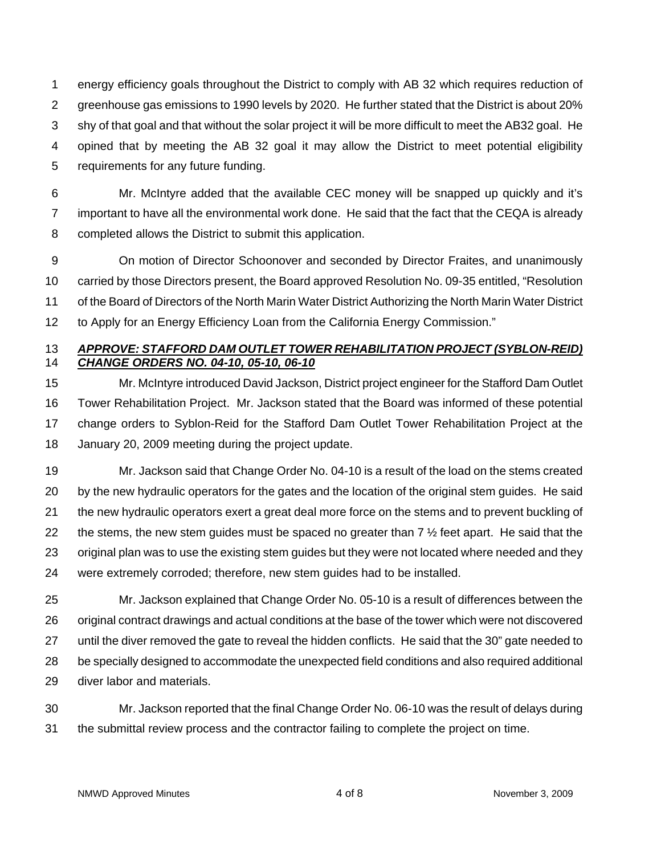1 energy efficiency goals throughout the District to comply with AB 32 which requires reduction of 2 greenhouse gas emissions to 1990 levels by 2020. He further stated that the District is about 20% 3 shy of that goal and that without the solar project it will be more difficult to meet the AB32 goal. He 4 opined that by meeting the AB 32 goal it may allow the District to meet potential eligibility 5 requirements for any future funding.

6 Mr. McIntyre added that the available CEC money will be snapped up quickly and it's 7 important to have all the environmental work done. He said that the fact that the CEQA is already 8 completed allows the District to submit this application.

9 On motion of Director Schoonover and seconded by Director Fraites, and unanimously 10 carried by those Directors present, the Board approved Resolution No. 09-35 entitled, "Resolution 11 of the Board of Directors of the North Marin Water District Authorizing the North Marin Water District 12 to Apply for an Energy Efficiency Loan from the California Energy Commission."

### 13 *APPROVE: STAFFORD DAM OUTLET TOWER REHABILITATION PROJECT (SYBLON-REID)* 14 *CHANGE ORDERS NO. 04-10, 05-10, 06-10*

15 Mr. McIntyre introduced David Jackson, District project engineer for the Stafford Dam Outlet 16 Tower Rehabilitation Project. Mr. Jackson stated that the Board was informed of these potential 17 change orders to Syblon-Reid for the Stafford Dam Outlet Tower Rehabilitation Project at the 18 January 20, 2009 meeting during the project update.

19 Mr. Jackson said that Change Order No. 04-10 is a result of the load on the stems created 20 by the new hydraulic operators for the gates and the location of the original stem guides. He said 21 the new hydraulic operators exert a great deal more force on the stems and to prevent buckling of 22 the stems, the new stem guides must be spaced no greater than  $7\frac{1}{2}$  feet apart. He said that the 23 original plan was to use the existing stem guides but they were not located where needed and they 24 were extremely corroded; therefore, new stem guides had to be installed.

25 Mr. Jackson explained that Change Order No. 05-10 is a result of differences between the 26 original contract drawings and actual conditions at the base of the tower which were not discovered 27 until the diver removed the gate to reveal the hidden conflicts. He said that the 30" gate needed to 28 be specially designed to accommodate the unexpected field conditions and also required additional 29 diver labor and materials.

30 Mr. Jackson reported that the final Change Order No. 06-10 was the result of delays during 31 the submittal review process and the contractor failing to complete the project on time.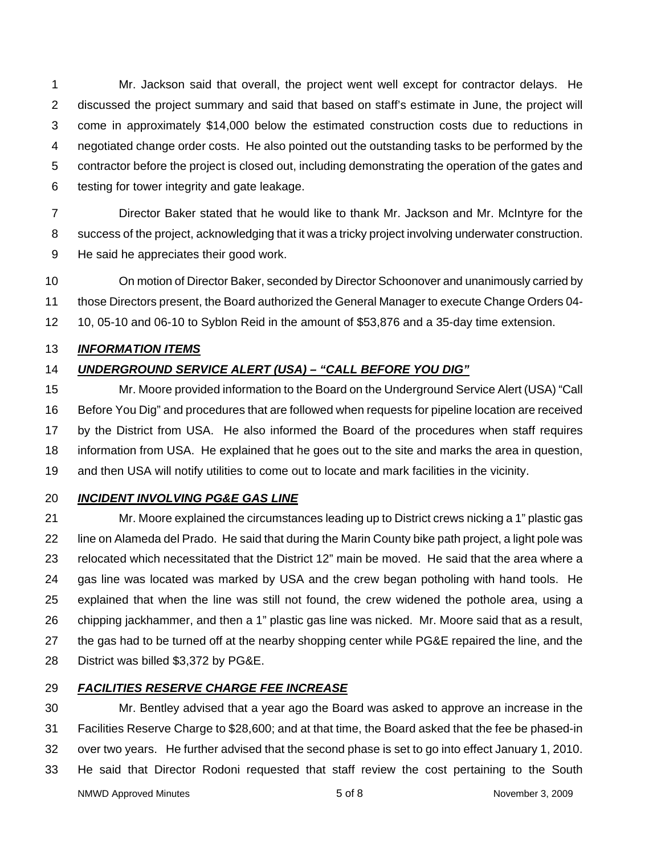1 Mr. Jackson said that overall, the project went well except for contractor delays. He 2 discussed the project summary and said that based on staff's estimate in June, the project will 3 come in approximately \$14,000 below the estimated construction costs due to reductions in 4 negotiated change order costs. He also pointed out the outstanding tasks to be performed by the 5 contractor before the project is closed out, including demonstrating the operation of the gates and 6 testing for tower integrity and gate leakage.

7 Director Baker stated that he would like to thank Mr. Jackson and Mr. McIntyre for the 8 success of the project, acknowledging that it was a tricky project involving underwater construction. 9 He said he appreciates their good work.

10 On motion of Director Baker, seconded by Director Schoonover and unanimously carried by 11 those Directors present, the Board authorized the General Manager to execute Change Orders 04- 12 10, 05-10 and 06-10 to Syblon Reid in the amount of \$53,876 and a 35-day time extension.

### 13 *INFORMATION ITEMS*

# 14 *UNDERGROUND SERVICE ALERT (USA) – "CALL BEFORE YOU DIG"*

15 Mr. Moore provided information to the Board on the Underground Service Alert (USA) "Call 16 Before You Dig" and procedures that are followed when requests for pipeline location are received 17 by the District from USA. He also informed the Board of the procedures when staff requires 18 information from USA. He explained that he goes out to the site and marks the area in question, 19 and then USA will notify utilities to come out to locate and mark facilities in the vicinity.

### 20 *INCIDENT INVOLVING PG&E GAS LINE*

21 Mr. Moore explained the circumstances leading up to District crews nicking a 1" plastic gas 22 line on Alameda del Prado. He said that during the Marin County bike path project, a light pole was 23 relocated which necessitated that the District 12" main be moved. He said that the area where a 24 gas line was located was marked by USA and the crew began potholing with hand tools. He 25 explained that when the line was still not found, the crew widened the pothole area, using a 26 chipping jackhammer, and then a 1" plastic gas line was nicked. Mr. Moore said that as a result, 27 the gas had to be turned off at the nearby shopping center while PG&E repaired the line, and the 28 District was billed \$3,372 by PG&E.

### 29 *FACILITIES RESERVE CHARGE FEE INCREASE*

30 Mr. Bentley advised that a year ago the Board was asked to approve an increase in the 31 Facilities Reserve Charge to \$28,600; and at that time, the Board asked that the fee be phased-in 32 over two years. He further advised that the second phase is set to go into effect January 1, 2010. 33 He said that Director Rodoni requested that staff review the cost pertaining to the South

NMWD Approved Minutes and the settlement of the settlement of  $5$  of 8 november 3, 2009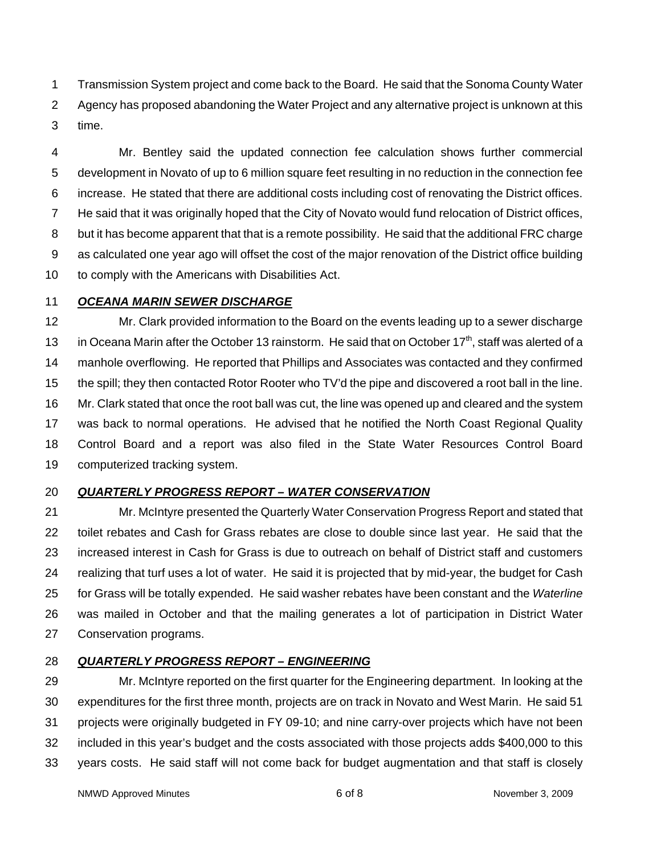1 Transmission System project and come back to the Board. He said that the Sonoma County Water 2 Agency has proposed abandoning the Water Project and any alternative project is unknown at this 3 time.

4 Mr. Bentley said the updated connection fee calculation shows further commercial 5 development in Novato of up to 6 million square feet resulting in no reduction in the connection fee 6 increase. He stated that there are additional costs including cost of renovating the District offices. 7 He said that it was originally hoped that the City of Novato would fund relocation of District offices, 8 but it has become apparent that that is a remote possibility. He said that the additional FRC charge 9 as calculated one year ago will offset the cost of the major renovation of the District office building 10 to comply with the Americans with Disabilities Act.

#### 11 *OCEANA MARIN SEWER DISCHARGE*

12 Mr. Clark provided information to the Board on the events leading up to a sewer discharge 13 in Oceana Marin after the October 13 rainstorm. He said that on October  $17<sup>th</sup>$ , staff was alerted of a 14 manhole overflowing. He reported that Phillips and Associates was contacted and they confirmed 15 the spill; they then contacted Rotor Rooter who TV'd the pipe and discovered a root ball in the line. 16 Mr. Clark stated that once the root ball was cut, the line was opened up and cleared and the system 17 was back to normal operations. He advised that he notified the North Coast Regional Quality 18 Control Board and a report was also filed in the State Water Resources Control Board 19 computerized tracking system.

# 20 *QUARTERLY PROGRESS REPORT – WATER CONSERVATION*

21 Mr. McIntyre presented the Quarterly Water Conservation Progress Report and stated that 22 toilet rebates and Cash for Grass rebates are close to double since last year. He said that the 23 increased interest in Cash for Grass is due to outreach on behalf of District staff and customers 24 realizing that turf uses a lot of water. He said it is projected that by mid-year, the budget for Cash 25 for Grass will be totally expended. He said washer rebates have been constant and the *Waterline* 26 was mailed in October and that the mailing generates a lot of participation in District Water 27 Conservation programs.

# 28 *QUARTERLY PROGRESS REPORT – ENGINEERING*

29 Mr. McIntyre reported on the first quarter for the Engineering department. In looking at the 30 expenditures for the first three month, projects are on track in Novato and West Marin. He said 51 31 projects were originally budgeted in FY 09-10; and nine carry-over projects which have not been 32 included in this year's budget and the costs associated with those projects adds \$400,000 to this 33 years costs. He said staff will not come back for budget augmentation and that staff is closely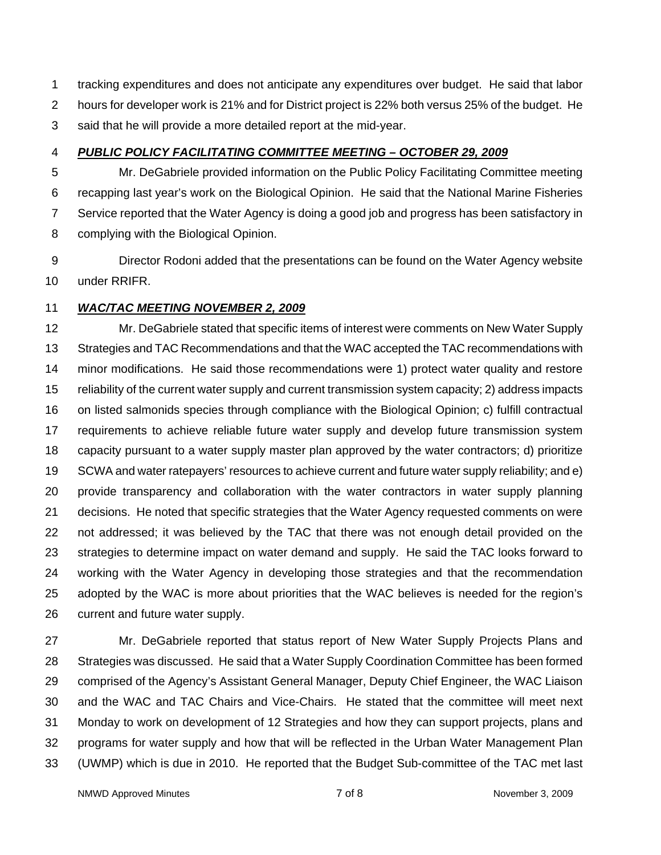1 tracking expenditures and does not anticipate any expenditures over budget. He said that labor 2 hours for developer work is 21% and for District project is 22% both versus 25% of the budget. He 3 said that he will provide a more detailed report at the mid-year.

### 4 *PUBLIC POLICY FACILITATING COMMITTEE MEETING – OCTOBER 29, 2009*

5 Mr. DeGabriele provided information on the Public Policy Facilitating Committee meeting 6 recapping last year's work on the Biological Opinion. He said that the National Marine Fisheries 7 Service reported that the Water Agency is doing a good job and progress has been satisfactory in 8 complying with the Biological Opinion.

9 Director Rodoni added that the presentations can be found on the Water Agency website 10 under RRIFR.

### 11 *WAC/TAC MEETING NOVEMBER 2, 2009*

12 Mr. DeGabriele stated that specific items of interest were comments on New Water Supply 13 Strategies and TAC Recommendations and that the WAC accepted the TAC recommendations with 14 minor modifications. He said those recommendations were 1) protect water quality and restore 15 reliability of the current water supply and current transmission system capacity; 2) address impacts 16 on listed salmonids species through compliance with the Biological Opinion; c) fulfill contractual 17 requirements to achieve reliable future water supply and develop future transmission system 18 capacity pursuant to a water supply master plan approved by the water contractors; d) prioritize 19 SCWA and water ratepayers' resources to achieve current and future water supply reliability; and e) 20 provide transparency and collaboration with the water contractors in water supply planning 21 decisions. He noted that specific strategies that the Water Agency requested comments on were 22 not addressed; it was believed by the TAC that there was not enough detail provided on the 23 strategies to determine impact on water demand and supply. He said the TAC looks forward to 24 working with the Water Agency in developing those strategies and that the recommendation 25 adopted by the WAC is more about priorities that the WAC believes is needed for the region's 26 current and future water supply.

27 Mr. DeGabriele reported that status report of New Water Supply Projects Plans and 28 Strategies was discussed. He said that a Water Supply Coordination Committee has been formed 29 comprised of the Agency's Assistant General Manager, Deputy Chief Engineer, the WAC Liaison 30 and the WAC and TAC Chairs and Vice-Chairs. He stated that the committee will meet next 31 Monday to work on development of 12 Strategies and how they can support projects, plans and 32 programs for water supply and how that will be reflected in the Urban Water Management Plan 33 (UWMP) which is due in 2010. He reported that the Budget Sub-committee of the TAC met last